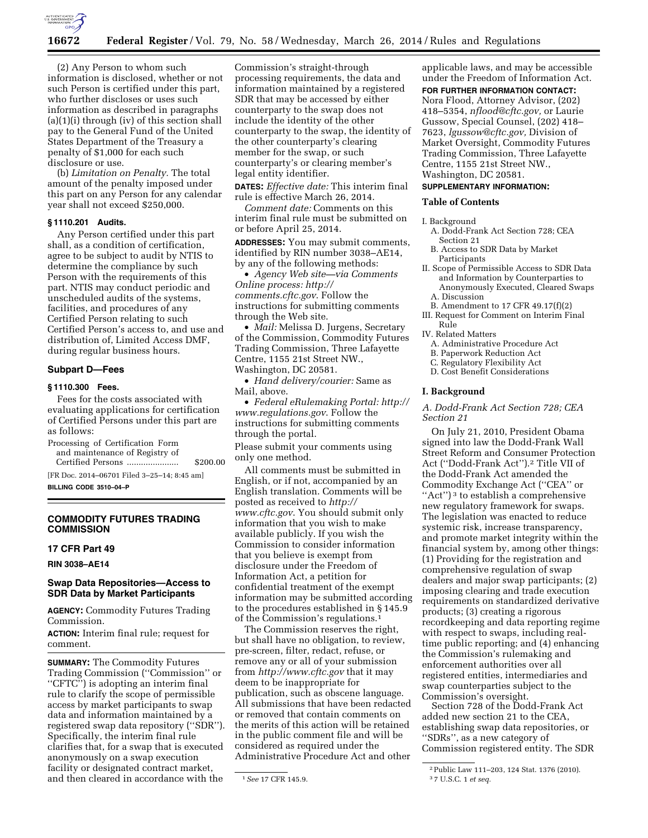

(2) Any Person to whom such information is disclosed, whether or not such Person is certified under this part, who further discloses or uses such information as described in paragraphs (a)(1)(i) through (iv) of this section shall pay to the General Fund of the United States Department of the Treasury a penalty of \$1,000 for each such disclosure or use.

(b) *Limitation on Penalty.* The total amount of the penalty imposed under this part on any Person for any calendar year shall not exceed \$250,000.

#### **§ 1110.201 Audits.**

Any Person certified under this part shall, as a condition of certification, agree to be subject to audit by NTIS to determine the compliance by such Person with the requirements of this part. NTIS may conduct periodic and unscheduled audits of the systems, facilities, and procedures of any Certified Person relating to such Certified Person's access to, and use and distribution of, Limited Access DMF, during regular business hours.

#### **Subpart D—Fees**

## **§ 1110.300 Fees.**

Fees for the costs associated with evaluating applications for certification of Certified Persons under this part are as follows:

Processing of Certification Form and maintenance of Registry of Certified Persons ...................... \$200.00

[FR Doc. 2014–06701 Filed 3–25–14; 8:45 am] **BILLING CODE 3510–04–P** 

## **COMMODITY FUTURES TRADING COMMISSION**

#### **17 CFR Part 49**

**RIN 3038–AE14** 

## **Swap Data Repositories—Access to SDR Data by Market Participants**

**AGENCY:** Commodity Futures Trading Commission.

**ACTION:** Interim final rule; request for comment.

**SUMMARY:** The Commodity Futures Trading Commission (''Commission'' or "CFTC") is adopting an interim final rule to clarify the scope of permissible access by market participants to swap data and information maintained by a registered swap data repository (''SDR''). Specifically, the interim final rule clarifies that, for a swap that is executed anonymously on a swap execution facility or designated contract market, and then cleared in accordance with the

Commission's straight-through processing requirements, the data and information maintained by a registered SDR that may be accessed by either counterparty to the swap does not include the identity of the other counterparty to the swap, the identity of the other counterparty's clearing member for the swap, or such counterparty's or clearing member's legal entity identifier.

**DATES:** *Effective date:* This interim final rule is effective March 26, 2014.

*Comment date:* Comments on this interim final rule must be submitted on or before April 25, 2014.

**ADDRESSES:** You may submit comments, identified by RIN number 3038–AE14, by any of the following methods:

• *Agency Web site—via Comments Online process: [http://](http://comments.cftc.gov) [comments.cftc.gov](http://comments.cftc.gov)*. Follow the instructions for submitting comments through the Web site.

• *Mail:* Melissa D. Jurgens, Secretary of the Commission, Commodity Futures Trading Commission, Three Lafayette Centre, 1155 21st Street NW., Washington, DC 20581.

• *Hand delivery/courier:* Same as Mail, above.

• *Federal eRulemaking Portal: [http://](http://www.regulations.gov)  [www.regulations.gov](http://www.regulations.gov)*. Follow the instructions for submitting comments through the portal.

Please submit your comments using only one method.

All comments must be submitted in English, or if not, accompanied by an English translation. Comments will be posted as received to *[http://](http://www.cftc.gov) [www.cftc.gov](http://www.cftc.gov)*. You should submit only information that you wish to make available publicly. If you wish the Commission to consider information that you believe is exempt from disclosure under the Freedom of Information Act, a petition for confidential treatment of the exempt information may be submitted according to the procedures established in § 145.9 of the Commission's regulations.1

The Commission reserves the right, but shall have no obligation, to review, pre-screen, filter, redact, refuse, or remove any or all of your submission from *<http://www.cftc.gov>* that it may deem to be inappropriate for publication, such as obscene language. All submissions that have been redacted or removed that contain comments on the merits of this action will be retained in the public comment file and will be considered as required under the Administrative Procedure Act and other

applicable laws, and may be accessible under the Freedom of Information Act.

**FOR FURTHER INFORMATION CONTACT:** 

Nora Flood, Attorney Advisor, (202) 418–5354, *[nflood@cftc.gov,](mailto:nflood@cftc.gov)* or Laurie Gussow, Special Counsel, (202) 418– 7623, *[lgussow@cftc.gov,](mailto:lgussow@cftc.gov)* Division of Market Oversight, Commodity Futures Trading Commission, Three Lafayette Centre, 1155 21st Street NW., Washington, DC 20581.

## **SUPPLEMENTARY INFORMATION:**

## **Table of Contents**

- I. Background
- A. Dodd-Frank Act Section 728; CEA Section 21
- B. Access to SDR Data by Market Participants
- II. Scope of Permissible Access to SDR Data and Information by Counterparties to Anonymously Executed, Cleared Swaps A. Discussion
- B. Amendment to 17 CFR 49.17(f)(2)
- III. Request for Comment on Interim Final Rule

IV. Related Matters

- A. Administrative Procedure Act
- B. Paperwork Reduction Act
- C. Regulatory Flexibility Act
- D. Cost Benefit Considerations

#### **I. Background**

## *A. Dodd-Frank Act Section 728; CEA Section 21*

On July 21, 2010, President Obama signed into law the Dodd-Frank Wall Street Reform and Consumer Protection Act (''Dodd-Frank Act'').2 Title VII of the Dodd-Frank Act amended the Commodity Exchange Act (''CEA'' or "Act")<sup>3</sup> to establish a comprehensive new regulatory framework for swaps. The legislation was enacted to reduce systemic risk, increase transparency, and promote market integrity within the financial system by, among other things: (1) Providing for the registration and comprehensive regulation of swap dealers and major swap participants; (2) imposing clearing and trade execution requirements on standardized derivative products; (3) creating a rigorous recordkeeping and data reporting regime with respect to swaps, including realtime public reporting; and (4) enhancing the Commission's rulemaking and enforcement authorities over all registered entities, intermediaries and swap counterparties subject to the Commission's oversight.

Section 728 of the Dodd-Frank Act added new section 21 to the CEA, establishing swap data repositories, or ''SDRs'', as a new category of Commission registered entity. The SDR

<sup>1</sup>*See* 17 CFR 145.9.

<sup>2</sup>Public Law 111–203, 124 Stat. 1376 (2010). 3 7 U.S.C. 1 *et seq.*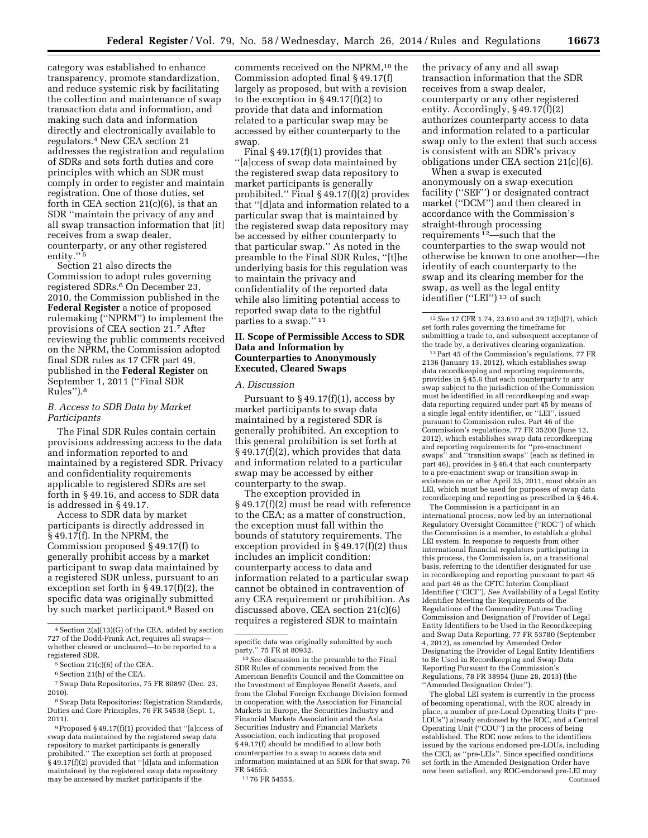category was established to enhance transparency, promote standardization, and reduce systemic risk by facilitating the collection and maintenance of swap transaction data and information, and making such data and information directly and electronically available to regulators.4 New CEA section 21 addresses the registration and regulation of SDRs and sets forth duties and core principles with which an SDR must comply in order to register and maintain registration. One of those duties, set forth in CEA section  $21(c)(6)$ , is that an SDR ''maintain the privacy of any and all swap transaction information that [it] receives from a swap dealer, counterparty, or any other registered entity."<sup>5</sup>

Section 21 also directs the Commission to adopt rules governing registered SDRs.6 On December 23, 2010, the Commission published in the **Federal Register** a notice of proposed rulemaking (''NPRM'') to implement the provisions of CEA section 21.7 After reviewing the public comments received on the NPRM, the Commission adopted final SDR rules as 17 CFR part 49, published in the **Federal Register** on September 1, 2011 (''Final SDR Rules'').8

## *B. Access to SDR Data by Market Participants*

The Final SDR Rules contain certain provisions addressing access to the data and information reported to and maintained by a registered SDR. Privacy and confidentiality requirements applicable to registered SDRs are set forth in § 49.16, and access to SDR data is addressed in § 49.17.

Access to SDR data by market participants is directly addressed in § 49.17(f). In the NPRM, the Commission proposed § 49.17(f) to generally prohibit access by a market participant to swap data maintained by a registered SDR unless, pursuant to an exception set forth in § 49.17(f)(2), the specific data was originally submitted by such market participant.9 Based on

comments received on the NPRM,<sup>10</sup> the Commission adopted final § 49.17(f) largely as proposed, but with a revision to the exception in  $\S 49.17(f)(2)$  to provide that data and information related to a particular swap may be accessed by either counterparty to the swap.

Final  $§$  49.17(f)(1) provides that ''[a]ccess of swap data maintained by the registered swap data repository to market participants is generally prohibited.'' Final § 49.17(f)(2) provides that ''[d]ata and information related to a particular swap that is maintained by the registered swap data repository may be accessed by either counterparty to that particular swap.'' As noted in the preamble to the Final SDR Rules, ''[t]he underlying basis for this regulation was to maintain the privacy and confidentiality of the reported data while also limiting potential access to reported swap data to the rightful parties to a swap.'' 11

## **II. Scope of Permissible Access to SDR Data and Information by Counterparties to Anonymously Executed, Cleared Swaps**

### *A. Discussion*

Pursuant to  $\S 49.17(f)(1)$ , access by market participants to swap data maintained by a registered SDR is generally prohibited. An exception to this general prohibition is set forth at § 49.17(f)(2), which provides that data and information related to a particular swap may be accessed by either counterparty to the swap.

The exception provided in § 49.17(f)(2) must be read with reference to the CEA; as a matter of construction, the exception must fall within the bounds of statutory requirements. The exception provided in § 49.17(f)(2) thus includes an implicit condition: counterparty access to data and information related to a particular swap cannot be obtained in contravention of any CEA requirement or prohibition. As discussed above, CEA section 21(c)(6) requires a registered SDR to maintain

the privacy of any and all swap transaction information that the SDR receives from a swap dealer, counterparty or any other registered entity. Accordingly, § 49.17(f)(2) authorizes counterparty access to data and information related to a particular swap only to the extent that such access is consistent with an SDR's privacy obligations under CEA section 21(c)(6).

When a swap is executed anonymously on a swap execution facility (''SEF'') or designated contract market (''DCM'') and then cleared in accordance with the Commission's straight-through processing requirements 12—such that the counterparties to the swap would not otherwise be known to one another—the identity of each counterparty to the swap and its clearing member for the swap, as well as the legal entity identifier (''LEI'') 13 of such

13Part 45 of the Commission's regulations, 77 FR 2136 (January 13, 2012), which establishes swap data recordkeeping and reporting requirements, provides in § 45.6 that each counterparty to any swap subject to the jurisdiction of the Commission must be identified in all recordkeeping and swap data reporting required under part 45 by means of a single legal entity identifier, or ''LEI'', issued pursuant to Commission rules. Part 46 of the Commission's regulations, 77 FR 35200 (June 12, 2012), which establishes swap data recordkeeping and reporting requirements for ''pre-enactment swaps'' and ''transition swaps'' (each as defined in part 46), provides in § 46.4 that each counterparty to a pre-enactment swap or transition swap in existence on or after April 25, 2011, must obtain an LEI, which must be used for purposes of swap data recordkeeping and reporting as prescribed in § 46.4.

The Commission is a participant in an international process, now led by an international Regulatory Oversight Committee (''ROC'') of which the Commission is a member, to establish a global LEI system. In response to requests from other international financial regulators participating in this process, the Commission is, on a transitional basis, referring to the identifier designated for use in recordkeeping and reporting pursuant to part 45 and part 46 as the CFTC Interim Compliant Identifier (''CICI''). *See* Availability of a Legal Entity Identifier Meeting the Requirements of the Regulations of the Commodity Futures Trading Commission and Designation of Provider of Legal Entity Identifiers to be Used in the Recordkeeping and Swap Data Reporting, 77 FR 53780 (September 4, 2012), as amended by Amended Order Designating the Provider of Legal Entity Identifiers to Be Used in Recordkeeping and Swap Data Reporting Pursuant to the Commission's Regulations, 78 FR 38954 (June 28, 2013) (the ''Amended Designation Order'').

The global LEI system is currently in the process of becoming operational, with the ROC already in place, a number of pre-Local Operating Units (''pre-LOUs'') already endorsed by the ROC, and a Central Operating Unit (''COU'') in the process of being established. The ROC now refers to the identifiers issued by the various endorsed pre-LOUs, including the CICI, as ''pre-LEIs''. Since specified conditions set forth in the Amended Designation Order have now been satisfied, any ROC-endorsed pre-LEI may Continued

<sup>4</sup>Section 2(a)(13)(G) of the CEA, added by section 727 of the Dodd-Frank Act, requires all swaps whether cleared or uncleared—to be reported to a registered SDR.

<sup>5</sup>Section 21(c)(6) of the CEA.

<sup>6</sup>Section 21(h) of the CEA.

<sup>7</sup>Swap Data Repositories, 75 FR 80897 (Dec. 23, 2010).

<sup>8</sup>Swap Data Repositories: Registration Standards, Duties and Core Principles, 76 FR 54538 (Sept. 1, 2011).

<sup>9</sup>Proposed § 49.17(f)(1) provided that ''[a]ccess of swap data maintained by the registered swap data repository to market participants is generally prohibited.'' The exception set forth at proposed § 49.17(f)(2) provided that "[d]ata and information maintained by the registered swap data repository may be accessed by market participants if the

specific data was originally submitted by such party.'' 75 FR at 80932.

<sup>10</sup>*See* discussion in the preamble to the Final SDR Rules of comments received from the American Benefits Council and the Committee on the Investment of Employee Benefit Assets, and from the Global Foreign Exchange Division formed in cooperation with the Association for Financial Markets in Europe, the Securities Industry and Financial Markets Association and the Asia Securities Industry and Financial Markets Association, each indicating that proposed § 49.17(f) should be modified to allow both counterparties to a swap to access data and information maintained at an SDR for that swap. 76 FR 54555.

<sup>11</sup> 76 FR 54555.

<sup>12</sup>*See* 17 CFR 1.74, 23.610 and 39.12(b)(7), which set forth rules governing the timeframe for submitting a trade to, and subsequent acceptance of the trade by, a derivatives clearing organization.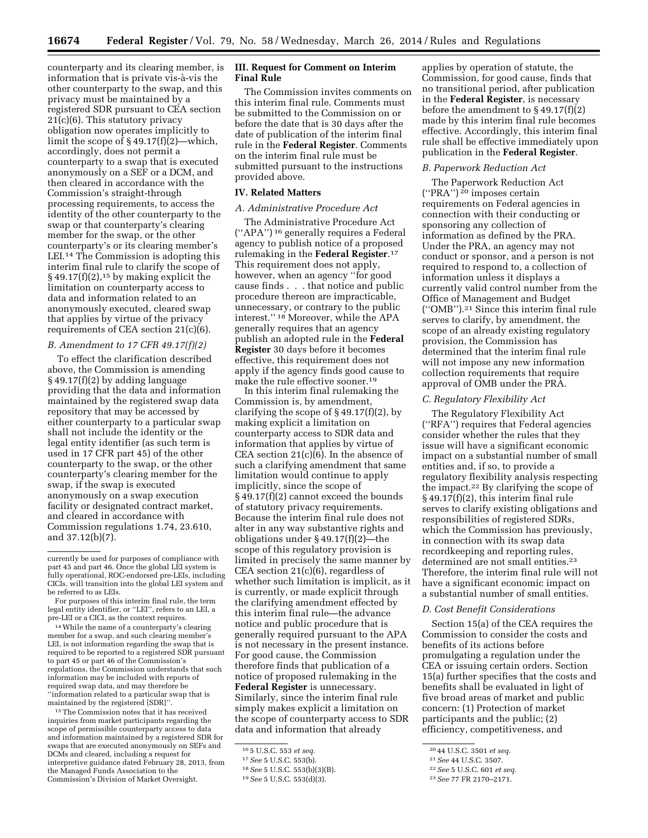counterparty and its clearing member, is information that is private vis-à-vis the other counterparty to the swap, and this privacy must be maintained by a registered SDR pursuant to CEA section 21(c)(6). This statutory privacy obligation now operates implicitly to limit the scope of § 49.17(f)(2)—which, accordingly, does not permit a counterparty to a swap that is executed anonymously on a SEF or a DCM, and then cleared in accordance with the Commission's straight-through processing requirements, to access the identity of the other counterparty to the swap or that counterparty's clearing member for the swap, or the other counterparty's or its clearing member's LEI.14 The Commission is adopting this interim final rule to clarify the scope of  $§$  49.17(f)(2),<sup>15</sup> by making explicit the limitation on counterparty access to data and information related to an anonymously executed, cleared swap that applies by virtue of the privacy requirements of CEA section 21(c)(6).

#### *B. Amendment to 17 CFR 49.17(f)(2)*

To effect the clarification described above, the Commission is amending § 49.17(f)(2) by adding language providing that the data and information maintained by the registered swap data repository that may be accessed by either counterparty to a particular swap shall not include the identity or the legal entity identifier (as such term is used in 17 CFR part 45) of the other counterparty to the swap, or the other counterparty's clearing member for the swap, if the swap is executed anonymously on a swap execution facility or designated contract market, and cleared in accordance with Commission regulations 1.74, 23.610, and 37.12(b)(7).

14While the name of a counterparty's clearing member for a swap, and such clearing member's LEI, is not information regarding the swap that is required to be reported to a registered SDR pursuant to part 45 or part 46 of the Commission's regulations, the Commission understands that such information may be included with reports of required swap data, and may therefore be ''information related to a particular swap that is maintained by the registered [SDR]''.

15The Commission notes that it has received inquiries from market participants regarding the scope of permissible counterparty access to data and information maintained by a registered SDR for swaps that are executed anonymously on SEFs and DCMs and cleared, including a request for interpretive guidance dated February 28, 2013, from the Managed Funds Association to the Commission's Division of Market Oversight.

## **III. Request for Comment on Interim Final Rule**

The Commission invites comments on this interim final rule. Comments must be submitted to the Commission on or before the date that is 30 days after the date of publication of the interim final rule in the **Federal Register**. Comments on the interim final rule must be submitted pursuant to the instructions provided above.

## **IV. Related Matters**

### *A. Administrative Procedure Act*

The Administrative Procedure Act (''APA'') 16 generally requires a Federal agency to publish notice of a proposed rulemaking in the **Federal Register**.17 This requirement does not apply, however, when an agency ''for good cause finds . . . that notice and public procedure thereon are impracticable, unnecessary, or contrary to the public interest.'' 18 Moreover, while the APA generally requires that an agency publish an adopted rule in the **Federal Register** 30 days before it becomes effective, this requirement does not apply if the agency finds good cause to make the rule effective sooner.19

In this interim final rulemaking the Commission is, by amendment, clarifying the scope of § 49.17(f)(2), by making explicit a limitation on counterparty access to SDR data and information that applies by virtue of CEA section  $21(c)(6)$ . In the absence of such a clarifying amendment that same limitation would continue to apply implicitly, since the scope of § 49.17(f)(2) cannot exceed the bounds of statutory privacy requirements. Because the interim final rule does not alter in any way substantive rights and obligations under § 49.17(f)(2)—the scope of this regulatory provision is limited in precisely the same manner by CEA section 21(c)(6), regardless of whether such limitation is implicit, as it is currently, or made explicit through the clarifying amendment effected by this interim final rule—the advance notice and public procedure that is generally required pursuant to the APA is not necessary in the present instance. For good cause, the Commission therefore finds that publication of a notice of proposed rulemaking in the **Federal Register** is unnecessary. Similarly, since the interim final rule simply makes explicit a limitation on the scope of counterparty access to SDR data and information that already

applies by operation of statute, the Commission, for good cause, finds that no transitional period, after publication in the **Federal Register**, is necessary before the amendment to  $\S 49.17(f)(2)$ made by this interim final rule becomes effective. Accordingly, this interim final rule shall be effective immediately upon publication in the **Federal Register**.

### *B. Paperwork Reduction Act*

The Paperwork Reduction Act  $("PRA")<sup>20</sup>$  imposes certain requirements on Federal agencies in connection with their conducting or sponsoring any collection of information as defined by the PRA. Under the PRA, an agency may not conduct or sponsor, and a person is not required to respond to, a collection of information unless it displays a currently valid control number from the Office of Management and Budget (''OMB'').21 Since this interim final rule serves to clarify, by amendment, the scope of an already existing regulatory provision, the Commission has determined that the interim final rule will not impose any new information collection requirements that require approval of OMB under the PRA.

## *C. Regulatory Flexibility Act*

The Regulatory Flexibility Act (''RFA'') requires that Federal agencies consider whether the rules that they issue will have a significant economic impact on a substantial number of small entities and, if so, to provide a regulatory flexibility analysis respecting the impact.22 By clarifying the scope of § 49.17(f)(2), this interim final rule serves to clarify existing obligations and responsibilities of registered SDRs, which the Commission has previously, in connection with its swap data recordkeeping and reporting rules, determined are not small entities.<sup>23</sup> Therefore, the interim final rule will not have a significant economic impact on a substantial number of small entities.

## *D. Cost Benefit Considerations*

Section 15(a) of the CEA requires the Commission to consider the costs and benefits of its actions before promulgating a regulation under the CEA or issuing certain orders. Section 15(a) further specifies that the costs and benefits shall be evaluated in light of five broad areas of market and public concern: (1) Protection of market participants and the public; (2) efficiency, competitiveness, and

currently be used for purposes of compliance with part 45 and part 46. Once the global LEI system is fully operational, ROC-endorsed pre-LEIs, including CICIs, will transition into the global LEI system and be referred to as LEIs.

For purposes of this interim final rule, the term legal entity identifier, or ''LEI'', refers to an LEI, a pre-LEI or a CICI, as the context requires.

<sup>16</sup> 5 U.S.C. 553 *et seq.* 

<sup>17</sup>*See* 5 U.S.C. 553(b).

<sup>18</sup>*See* 5 U.S.C. 553(b)(3)(B).

<sup>19</sup>*See* 5 U.S.C. 553(d)(3).

<sup>20</sup> 44 U.S.C. 3501 *et seq.* 

<sup>21</sup>*See* 44 U.S.C. 3507.

<sup>22</sup>*See* 5 U.S.C. 601 *et seq.* 

<sup>23</sup>*See* 77 FR 2170–2171.